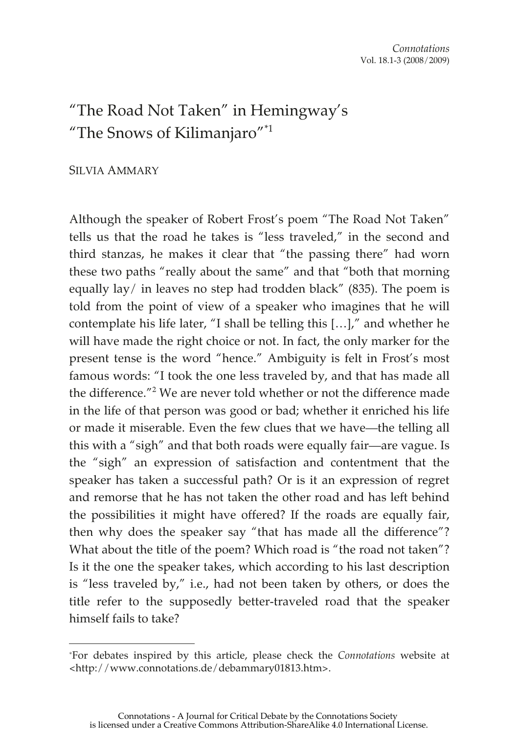## "The Road Not Taken" in Hemingway's "The Snows of Kilimanjaro"\*1

## SILVIA AMMARY

 $\overline{a}$ 

Although the speaker of Robert Frost's poem "The Road Not Taken" tells us that the road he takes is "less traveled," in the second and third stanzas, he makes it clear that "the passing there" had worn these two paths "really about the same" and that "both that morning equally lay/ in leaves no step had trodden black" (835). The poem is told from the point of view of a speaker who imagines that he will contemplate his life later, "I shall be telling this […]," and whether he will have made the right choice or not. In fact, the only marker for the present tense is the word "hence." Ambiguity is felt in Frost's most famous words: "I took the one less traveled by, and that has made all the difference."<sup>2</sup> We are never told whether or not the difference made in the life of that person was good or bad; whether it enriched his life or made it miserable. Even the few clues that we have—the telling all this with a "sigh" and that both roads were equally fair—are vague. Is the "sigh" an expression of satisfaction and contentment that the speaker has taken a successful path? Or is it an expression of regret and remorse that he has not taken the other road and has left behind the possibilities it might have offered? If the roads are equally fair, then why does the speaker say "that has made all the difference"? What about the title of the poem? Which road is "the road not taken"? Is it the one the speaker takes, which according to his last description is "less traveled by," i.e., had not been taken by others, or does the title refer to the supposedly better-traveled road that the speaker himself fails to take?

<sup>\*</sup>For debates inspired by this article, please check the *Connotations* website at <http://www.connotations.de/debammary01813.htm>.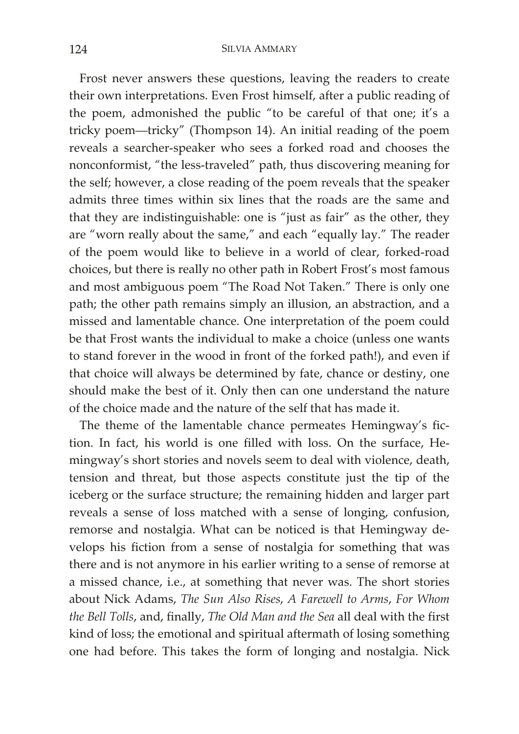Frost never answers these questions, leaving the readers to create their own interpretations. Even Frost himself, after a public reading of the poem, admonished the public "to be careful of that one; it's a tricky poem—tricky" (Thompson 14). An initial reading of the poem reveals a searcher-speaker who sees a forked road and chooses the nonconformist, "the less-traveled" path, thus discovering meaning for the self; however, a close reading of the poem reveals that the speaker admits three times within six lines that the roads are the same and that they are indistinguishable: one is "just as fair" as the other, they are "worn really about the same," and each "equally lay." The reader of the poem would like to believe in a world of clear, forked-road choices, but there is really no other path in Robert Frost's most famous and most ambiguous poem "The Road Not Taken." There is only one path; the other path remains simply an illusion, an abstraction, and a missed and lamentable chance. One interpretation of the poem could be that Frost wants the individual to make a choice (unless one wants to stand forever in the wood in front of the forked path!), and even if that choice will always be determined by fate, chance or destiny, one should make the best of it. Only then can one understand the nature of the choice made and the nature of the self that has made it.

The theme of the lamentable chance permeates Hemingway's fiction. In fact, his world is one filled with loss. On the surface, Hemingway's short stories and novels seem to deal with violence, death, tension and threat, but those aspects constitute just the tip of the iceberg or the surface structure; the remaining hidden and larger part reveals a sense of loss matched with a sense of longing, confusion, remorse and nostalgia. What can be noticed is that Hemingway develops his fiction from a sense of nostalgia for something that was there and is not anymore in his earlier writing to a sense of remorse at a missed chance, i.e., at something that never was. The short stories about Nick Adams, *The Sun Also Rises*, *A Farewell to Arms*, *For Whom the Bell Tolls*, and, finally, *The Old Man and the Sea* all deal with the first kind of loss; the emotional and spiritual aftermath of losing something one had before. This takes the form of longing and nostalgia. Nick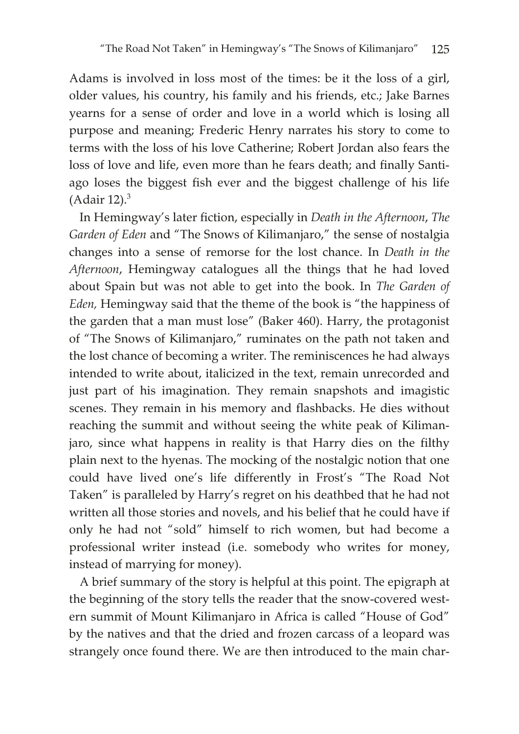Adams is involved in loss most of the times: be it the loss of a girl, older values, his country, his family and his friends, etc.; Jake Barnes yearns for a sense of order and love in a world which is losing all purpose and meaning; Frederic Henry narrates his story to come to terms with the loss of his love Catherine; Robert Jordan also fears the loss of love and life, even more than he fears death; and finally Santiago loses the biggest fish ever and the biggest challenge of his life (Adair 12). $3$ 

In Hemingway's later fiction, especially in *Death in the Afternoon*, *The Garden of Eden* and "The Snows of Kilimanjaro," the sense of nostalgia changes into a sense of remorse for the lost chance. In *Death in the Afternoon*, Hemingway catalogues all the things that he had loved about Spain but was not able to get into the book. In *The Garden of Eden,* Hemingway said that the theme of the book is "the happiness of the garden that a man must lose" (Baker 460). Harry, the protagonist of "The Snows of Kilimanjaro," ruminates on the path not taken and the lost chance of becoming a writer. The reminiscences he had always intended to write about, italicized in the text, remain unrecorded and just part of his imagination. They remain snapshots and imagistic scenes. They remain in his memory and flashbacks. He dies without reaching the summit and without seeing the white peak of Kilimanjaro, since what happens in reality is that Harry dies on the filthy plain next to the hyenas. The mocking of the nostalgic notion that one could have lived one's life differently in Frost's "The Road Not Taken" is paralleled by Harry's regret on his deathbed that he had not written all those stories and novels, and his belief that he could have if only he had not "sold" himself to rich women, but had become a professional writer instead (i.e. somebody who writes for money, instead of marrying for money).

A brief summary of the story is helpful at this point. The epigraph at the beginning of the story tells the reader that the snow-covered western summit of Mount Kilimanjaro in Africa is called "House of God" by the natives and that the dried and frozen carcass of a leopard was strangely once found there. We are then introduced to the main char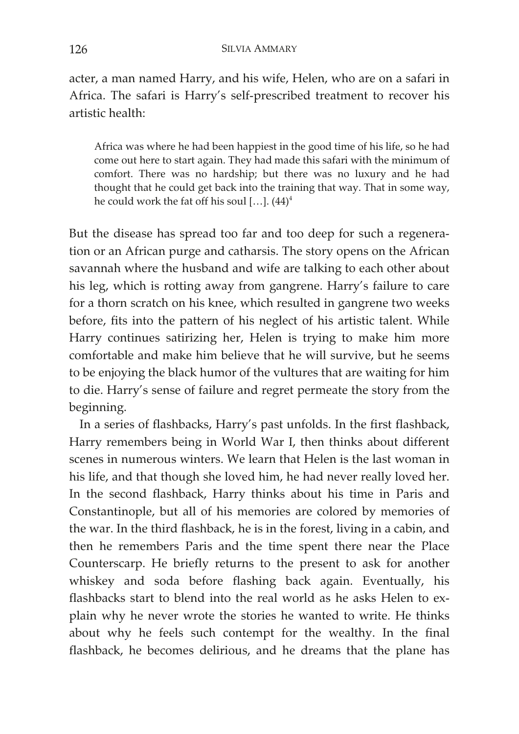acter, a man named Harry, and his wife, Helen, who are on a safari in Africa. The safari is Harry's self-prescribed treatment to recover his artistic health:

Africa was where he had been happiest in the good time of his life, so he had come out here to start again. They had made this safari with the minimum of comfort. There was no hardship; but there was no luxury and he had thought that he could get back into the training that way. That in some way, he could work the fat off his soul [...].  $(44)^4$ 

But the disease has spread too far and too deep for such a regeneration or an African purge and catharsis. The story opens on the African savannah where the husband and wife are talking to each other about his leg, which is rotting away from gangrene. Harry's failure to care for a thorn scratch on his knee, which resulted in gangrene two weeks before, fits into the pattern of his neglect of his artistic talent. While Harry continues satirizing her, Helen is trying to make him more comfortable and make him believe that he will survive, but he seems to be enjoying the black humor of the vultures that are waiting for him to die. Harry's sense of failure and regret permeate the story from the beginning.

In a series of flashbacks, Harry's past unfolds. In the first flashback, Harry remembers being in World War I, then thinks about different scenes in numerous winters. We learn that Helen is the last woman in his life, and that though she loved him, he had never really loved her. In the second flashback, Harry thinks about his time in Paris and Constantinople, but all of his memories are colored by memories of the war. In the third flashback, he is in the forest, living in a cabin, and then he remembers Paris and the time spent there near the Place Counterscarp. He briefly returns to the present to ask for another whiskey and soda before flashing back again. Eventually, his flashbacks start to blend into the real world as he asks Helen to explain why he never wrote the stories he wanted to write. He thinks about why he feels such contempt for the wealthy. In the final flashback, he becomes delirious, and he dreams that the plane has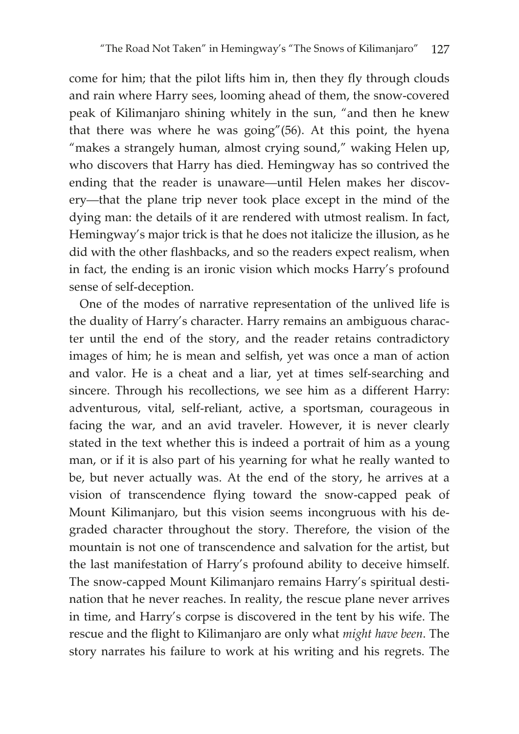come for him; that the pilot lifts him in, then they fly through clouds and rain where Harry sees, looming ahead of them, the snow-covered peak of Kilimanjaro shining whitely in the sun, "and then he knew that there was where he was going"(56). At this point, the hyena "makes a strangely human, almost crying sound," waking Helen up, who discovers that Harry has died. Hemingway has so contrived the ending that the reader is unaware—until Helen makes her discovery—that the plane trip never took place except in the mind of the dying man: the details of it are rendered with utmost realism. In fact, Hemingway's major trick is that he does not italicize the illusion, as he did with the other flashbacks, and so the readers expect realism, when in fact, the ending is an ironic vision which mocks Harry's profound sense of self-deception.

One of the modes of narrative representation of the unlived life is the duality of Harry's character. Harry remains an ambiguous character until the end of the story, and the reader retains contradictory images of him; he is mean and selfish, yet was once a man of action and valor. He is a cheat and a liar, yet at times self-searching and sincere. Through his recollections, we see him as a different Harry: adventurous, vital, self-reliant, active, a sportsman, courageous in facing the war, and an avid traveler. However, it is never clearly stated in the text whether this is indeed a portrait of him as a young man, or if it is also part of his yearning for what he really wanted to be, but never actually was. At the end of the story, he arrives at a vision of transcendence flying toward the snow-capped peak of Mount Kilimanjaro, but this vision seems incongruous with his degraded character throughout the story. Therefore, the vision of the mountain is not one of transcendence and salvation for the artist, but the last manifestation of Harry's profound ability to deceive himself. The snow-capped Mount Kilimanjaro remains Harry's spiritual destination that he never reaches. In reality, the rescue plane never arrives in time, and Harry's corpse is discovered in the tent by his wife. The rescue and the flight to Kilimanjaro are only what *might have been*. The story narrates his failure to work at his writing and his regrets. The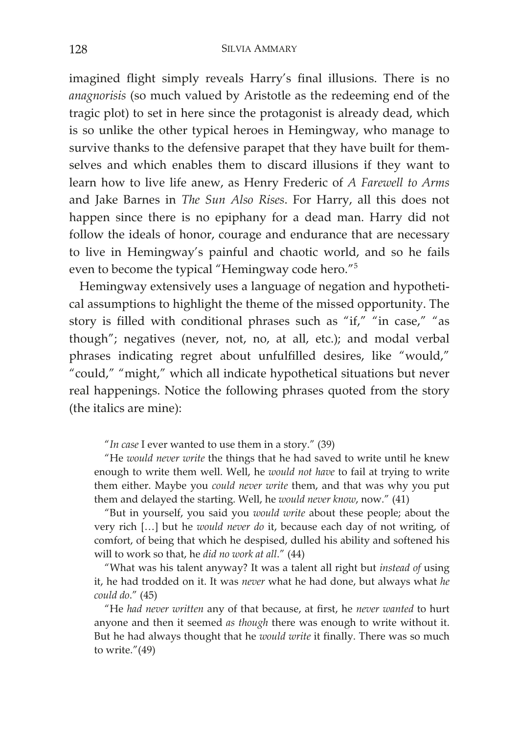imagined flight simply reveals Harry's final illusions. There is no *anagnorisis* (so much valued by Aristotle as the redeeming end of the tragic plot) to set in here since the protagonist is already dead, which is so unlike the other typical heroes in Hemingway, who manage to survive thanks to the defensive parapet that they have built for themselves and which enables them to discard illusions if they want to learn how to live life anew, as Henry Frederic of *A Farewell to Arms* and Jake Barnes in *The Sun Also Rises*. For Harry, all this does not happen since there is no epiphany for a dead man. Harry did not follow the ideals of honor, courage and endurance that are necessary to live in Hemingway's painful and chaotic world, and so he fails even to become the typical "Hemingway code hero."5

Hemingway extensively uses a language of negation and hypothetical assumptions to highlight the theme of the missed opportunity. The story is filled with conditional phrases such as "if," "in case," "as though"; negatives (never, not, no, at all, etc.); and modal verbal phrases indicating regret about unfulfilled desires, like "would," "could," "might," which all indicate hypothetical situations but never real happenings. Notice the following phrases quoted from the story (the italics are mine):

"*In case* I ever wanted to use them in a story." (39)

"He *would never write* the things that he had saved to write until he knew enough to write them well. Well, he *would not have* to fail at trying to write them either. Maybe you *could never write* them, and that was why you put them and delayed the starting. Well, he *would never know*, now." (41)

"But in yourself, you said you *would write* about these people; about the very rich […] but he *would never do* it, because each day of not writing, of comfort, of being that which he despised, dulled his ability and softened his will to work so that, he *did no work at all*." (44)

"What was his talent anyway? It was a talent all right but *instead of* using it, he had trodded on it. It was *never* what he had done, but always what *he could do*." (45)

"He *had never written* any of that because, at first, he *never wanted* to hurt anyone and then it seemed *as though* there was enough to write without it. But he had always thought that he *would write* it finally. There was so much to write."(49)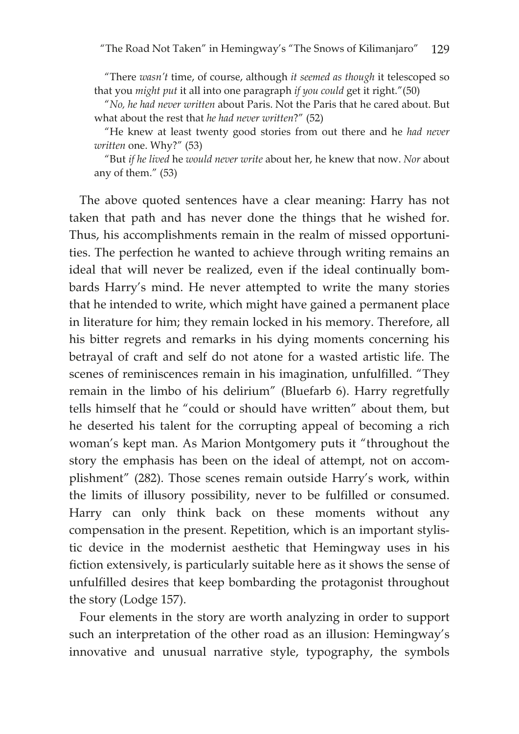"There *wasn't* time, of course, although *it seemed as though* it telescoped so that you *might put* it all into one paragraph *if you could* get it right."(50)

"*No, he had never written* about Paris. Not the Paris that he cared about. But what about the rest that *he had never written*?" (52)

"He knew at least twenty good stories from out there and he *had never written* one. Why?" (53)

"But *if he lived* he *would never write* about her, he knew that now. *Nor* about any of them." (53)

The above quoted sentences have a clear meaning: Harry has not taken that path and has never done the things that he wished for. Thus, his accomplishments remain in the realm of missed opportunities. The perfection he wanted to achieve through writing remains an ideal that will never be realized, even if the ideal continually bombards Harry's mind. He never attempted to write the many stories that he intended to write, which might have gained a permanent place in literature for him; they remain locked in his memory. Therefore, all his bitter regrets and remarks in his dying moments concerning his betrayal of craft and self do not atone for a wasted artistic life. The scenes of reminiscences remain in his imagination, unfulfilled. "They remain in the limbo of his delirium" (Bluefarb 6). Harry regretfully tells himself that he "could or should have written" about them, but he deserted his talent for the corrupting appeal of becoming a rich woman's kept man. As Marion Montgomery puts it "throughout the story the emphasis has been on the ideal of attempt, not on accomplishment" (282). Those scenes remain outside Harry's work, within the limits of illusory possibility, never to be fulfilled or consumed. Harry can only think back on these moments without any compensation in the present. Repetition, which is an important stylistic device in the modernist aesthetic that Hemingway uses in his fiction extensively, is particularly suitable here as it shows the sense of unfulfilled desires that keep bombarding the protagonist throughout the story (Lodge 157).

Four elements in the story are worth analyzing in order to support such an interpretation of the other road as an illusion: Hemingway's innovative and unusual narrative style, typography, the symbols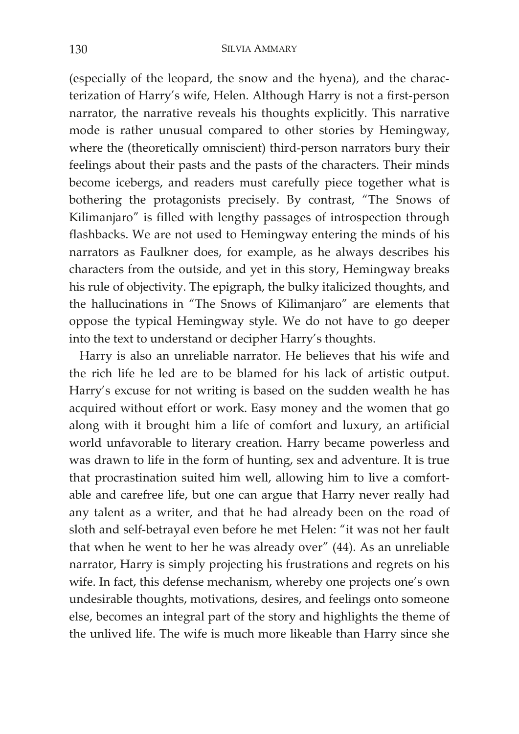(especially of the leopard, the snow and the hyena), and the characterization of Harry's wife, Helen. Although Harry is not a first-person narrator, the narrative reveals his thoughts explicitly. This narrative mode is rather unusual compared to other stories by Hemingway, where the (theoretically omniscient) third-person narrators bury their feelings about their pasts and the pasts of the characters. Their minds become icebergs, and readers must carefully piece together what is bothering the protagonists precisely. By contrast, "The Snows of Kilimanjaro" is filled with lengthy passages of introspection through flashbacks. We are not used to Hemingway entering the minds of his narrators as Faulkner does, for example, as he always describes his characters from the outside, and yet in this story, Hemingway breaks his rule of objectivity. The epigraph, the bulky italicized thoughts, and the hallucinations in "The Snows of Kilimanjaro" are elements that oppose the typical Hemingway style. We do not have to go deeper into the text to understand or decipher Harry's thoughts.

Harry is also an unreliable narrator. He believes that his wife and the rich life he led are to be blamed for his lack of artistic output. Harry's excuse for not writing is based on the sudden wealth he has acquired without effort or work. Easy money and the women that go along with it brought him a life of comfort and luxury, an artificial world unfavorable to literary creation. Harry became powerless and was drawn to life in the form of hunting, sex and adventure. It is true that procrastination suited him well, allowing him to live a comfortable and carefree life, but one can argue that Harry never really had any talent as a writer, and that he had already been on the road of sloth and self-betrayal even before he met Helen: "it was not her fault that when he went to her he was already over" (44). As an unreliable narrator, Harry is simply projecting his frustrations and regrets on his wife. In fact, this defense mechanism, whereby one projects one's own undesirable thoughts, motivations, desires, and feelings onto someone else, becomes an integral part of the story and highlights the theme of the unlived life. The wife is much more likeable than Harry since she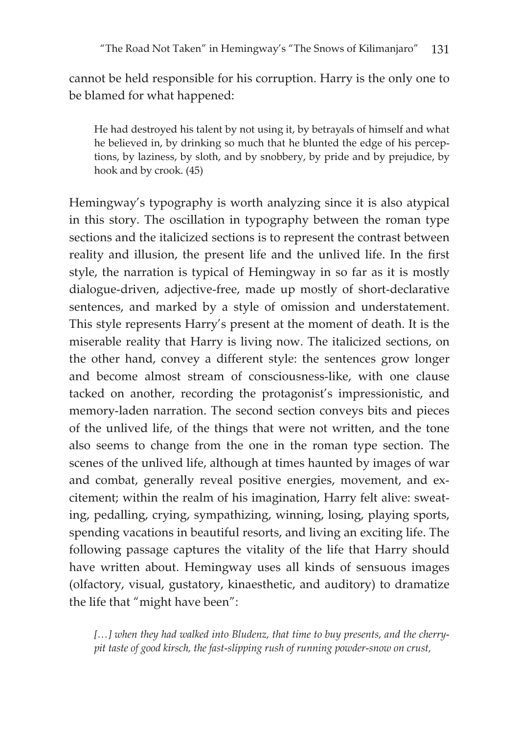cannot be held responsible for his corruption. Harry is the only one to be blamed for what happened:

He had destroyed his talent by not using it, by betrayals of himself and what he believed in, by drinking so much that he blunted the edge of his perceptions, by laziness, by sloth, and by snobbery, by pride and by prejudice, by hook and by crook. (45)

Hemingway's typography is worth analyzing since it is also atypical in this story. The oscillation in typography between the roman type sections and the italicized sections is to represent the contrast between reality and illusion, the present life and the unlived life. In the first style, the narration is typical of Hemingway in so far as it is mostly dialogue-driven, adjective-free, made up mostly of short-declarative sentences, and marked by a style of omission and understatement. This style represents Harry's present at the moment of death. It is the miserable reality that Harry is living now. The italicized sections, on the other hand, convey a different style: the sentences grow longer and become almost stream of consciousness-like, with one clause tacked on another, recording the protagonist's impressionistic, and memory-laden narration. The second section conveys bits and pieces of the unlived life, of the things that were not written, and the tone also seems to change from the one in the roman type section. The scenes of the unlived life, although at times haunted by images of war and combat, generally reveal positive energies, movement, and excitement; within the realm of his imagination, Harry felt alive: sweating, pedalling, crying, sympathizing, winning, losing, playing sports, spending vacations in beautiful resorts, and living an exciting life. The following passage captures the vitality of the life that Harry should have written about. Hemingway uses all kinds of sensuous images (olfactory, visual, gustatory, kinaesthetic, and auditory) to dramatize the life that "might have been":

[...] when they had walked into Bludenz, that time to buy presents, and the cherry*pit taste of good kirsch, the fast-slipping rush of running powder-snow on crust,*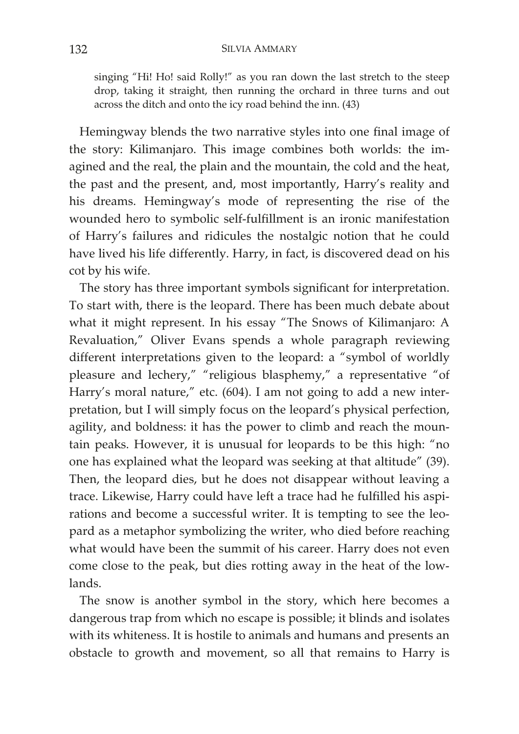singing "Hi! Ho! said Rolly!" as you ran down the last stretch to the steep drop, taking it straight, then running the orchard in three turns and out across the ditch and onto the icy road behind the inn. (43)

Hemingway blends the two narrative styles into one final image of the story: Kilimanjaro. This image combines both worlds: the imagined and the real, the plain and the mountain, the cold and the heat, the past and the present, and, most importantly, Harry's reality and his dreams. Hemingway's mode of representing the rise of the wounded hero to symbolic self-fulfillment is an ironic manifestation of Harry's failures and ridicules the nostalgic notion that he could have lived his life differently. Harry, in fact, is discovered dead on his cot by his wife.

The story has three important symbols significant for interpretation. To start with, there is the leopard. There has been much debate about what it might represent. In his essay "The Snows of Kilimanjaro: A Revaluation," Oliver Evans spends a whole paragraph reviewing different interpretations given to the leopard: a "symbol of worldly pleasure and lechery," "religious blasphemy," a representative "of Harry's moral nature," etc. (604). I am not going to add a new interpretation, but I will simply focus on the leopard's physical perfection, agility, and boldness: it has the power to climb and reach the mountain peaks. However, it is unusual for leopards to be this high: "no one has explained what the leopard was seeking at that altitude" (39). Then, the leopard dies, but he does not disappear without leaving a trace. Likewise, Harry could have left a trace had he fulfilled his aspirations and become a successful writer. It is tempting to see the leopard as a metaphor symbolizing the writer, who died before reaching what would have been the summit of his career. Harry does not even come close to the peak, but dies rotting away in the heat of the lowlands.

The snow is another symbol in the story, which here becomes a dangerous trap from which no escape is possible; it blinds and isolates with its whiteness. It is hostile to animals and humans and presents an obstacle to growth and movement, so all that remains to Harry is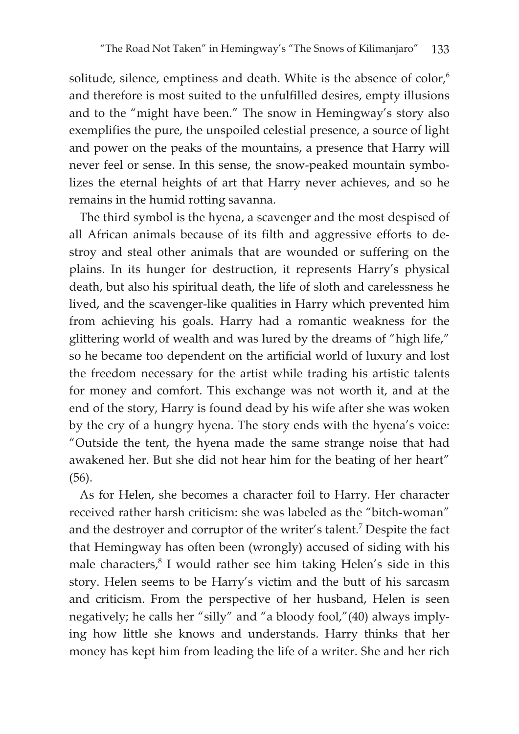solitude, silence, emptiness and death. White is the absence of  $color<sub>6</sub>$ and therefore is most suited to the unfulfilled desires, empty illusions and to the "might have been." The snow in Hemingway's story also exemplifies the pure, the unspoiled celestial presence, a source of light and power on the peaks of the mountains, a presence that Harry will never feel or sense. In this sense, the snow-peaked mountain symbolizes the eternal heights of art that Harry never achieves, and so he remains in the humid rotting savanna.

The third symbol is the hyena, a scavenger and the most despised of all African animals because of its filth and aggressive efforts to destroy and steal other animals that are wounded or suffering on the plains. In its hunger for destruction, it represents Harry's physical death, but also his spiritual death, the life of sloth and carelessness he lived, and the scavenger-like qualities in Harry which prevented him from achieving his goals. Harry had a romantic weakness for the glittering world of wealth and was lured by the dreams of "high life," so he became too dependent on the artificial world of luxury and lost the freedom necessary for the artist while trading his artistic talents for money and comfort. This exchange was not worth it, and at the end of the story, Harry is found dead by his wife after she was woken by the cry of a hungry hyena. The story ends with the hyena's voice: "Outside the tent, the hyena made the same strange noise that had awakened her. But she did not hear him for the beating of her heart" (56).

As for Helen, she becomes a character foil to Harry. Her character received rather harsh criticism: she was labeled as the "bitch-woman" and the destroyer and corruptor of the writer's talent.<sup>7</sup> Despite the fact that Hemingway has often been (wrongly) accused of siding with his male characters,<sup>8</sup> I would rather see him taking Helen's side in this story. Helen seems to be Harry's victim and the butt of his sarcasm and criticism. From the perspective of her husband, Helen is seen negatively; he calls her "silly" and "a bloody fool,"(40) always implying how little she knows and understands. Harry thinks that her money has kept him from leading the life of a writer. She and her rich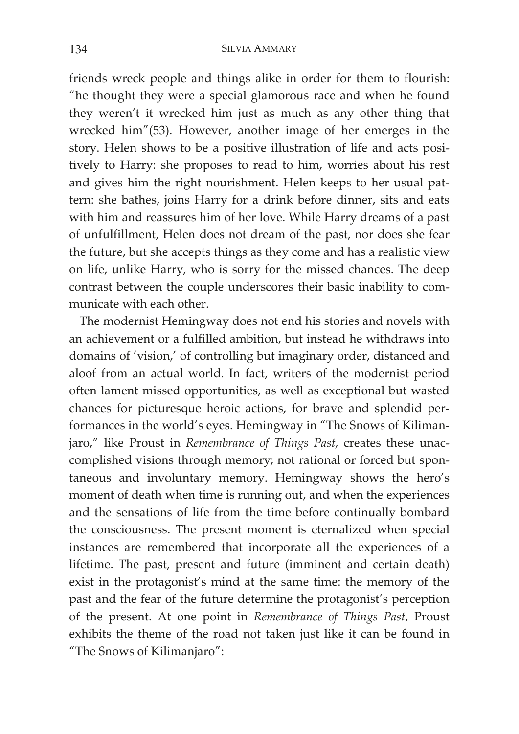friends wreck people and things alike in order for them to flourish: "he thought they were a special glamorous race and when he found they weren't it wrecked him just as much as any other thing that wrecked him"(53). However, another image of her emerges in the story. Helen shows to be a positive illustration of life and acts positively to Harry: she proposes to read to him, worries about his rest and gives him the right nourishment. Helen keeps to her usual pattern: she bathes, joins Harry for a drink before dinner, sits and eats with him and reassures him of her love. While Harry dreams of a past of unfulfillment, Helen does not dream of the past, nor does she fear the future, but she accepts things as they come and has a realistic view on life, unlike Harry, who is sorry for the missed chances. The deep contrast between the couple underscores their basic inability to communicate with each other.

The modernist Hemingway does not end his stories and novels with an achievement or a fulfilled ambition, but instead he withdraws into domains of 'vision,' of controlling but imaginary order, distanced and aloof from an actual world. In fact, writers of the modernist period often lament missed opportunities, as well as exceptional but wasted chances for picturesque heroic actions, for brave and splendid performances in the world's eyes. Hemingway in "The Snows of Kilimanjaro," like Proust in *Remembrance of Things Past,* creates these unaccomplished visions through memory; not rational or forced but spontaneous and involuntary memory. Hemingway shows the hero's moment of death when time is running out, and when the experiences and the sensations of life from the time before continually bombard the consciousness. The present moment is eternalized when special instances are remembered that incorporate all the experiences of a lifetime. The past, present and future (imminent and certain death) exist in the protagonist's mind at the same time: the memory of the past and the fear of the future determine the protagonist's perception of the present. At one point in *Remembrance of Things Past*, Proust exhibits the theme of the road not taken just like it can be found in "The Snows of Kilimanjaro":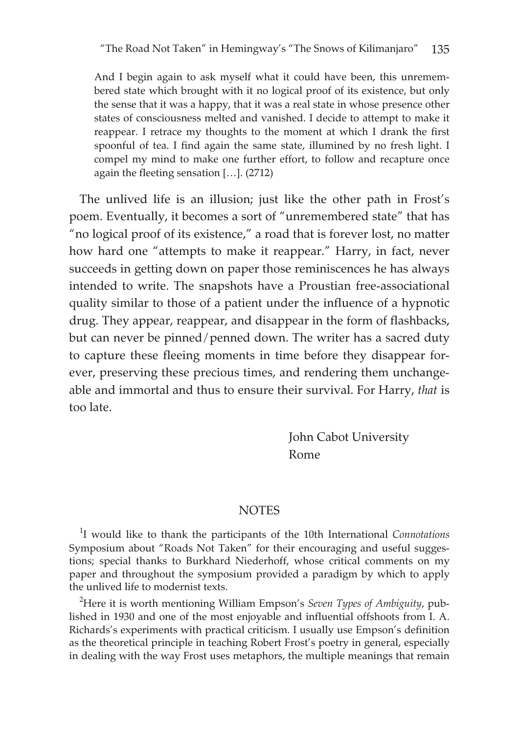And I begin again to ask myself what it could have been, this unremembered state which brought with it no logical proof of its existence, but only the sense that it was a happy, that it was a real state in whose presence other states of consciousness melted and vanished. I decide to attempt to make it reappear. I retrace my thoughts to the moment at which I drank the first spoonful of tea. I find again the same state, illumined by no fresh light. I compel my mind to make one further effort, to follow and recapture once again the fleeting sensation […]. (2712)

The unlived life is an illusion; just like the other path in Frost's poem. Eventually, it becomes a sort of "unremembered state" that has "no logical proof of its existence," a road that is forever lost, no matter how hard one "attempts to make it reappear." Harry, in fact, never succeeds in getting down on paper those reminiscences he has always intended to write. The snapshots have a Proustian free-associational quality similar to those of a patient under the influence of a hypnotic drug. They appear, reappear, and disappear in the form of flashbacks, but can never be pinned/penned down. The writer has a sacred duty to capture these fleeing moments in time before they disappear forever, preserving these precious times, and rendering them unchangeable and immortal and thus to ensure their survival. For Harry, *that* is too late.

> John Cabot University Rome

## **NOTES**

1 I would like to thank the participants of the 10th International *Connotations* Symposium about "Roads Not Taken" for their encouraging and useful suggestions; special thanks to Burkhard Niederhoff, whose critical comments on my paper and throughout the symposium provided a paradigm by which to apply the unlived life to modernist texts.

2 Here it is worth mentioning William Empson's *Seven Types of Ambiguity*, published in 1930 and one of the most enjoyable and influential offshoots from I. A. Richards's experiments with practical criticism. I usually use Empson's definition as the theoretical principle in teaching Robert Frost's poetry in general, especially in dealing with the way Frost uses metaphors, the multiple meanings that remain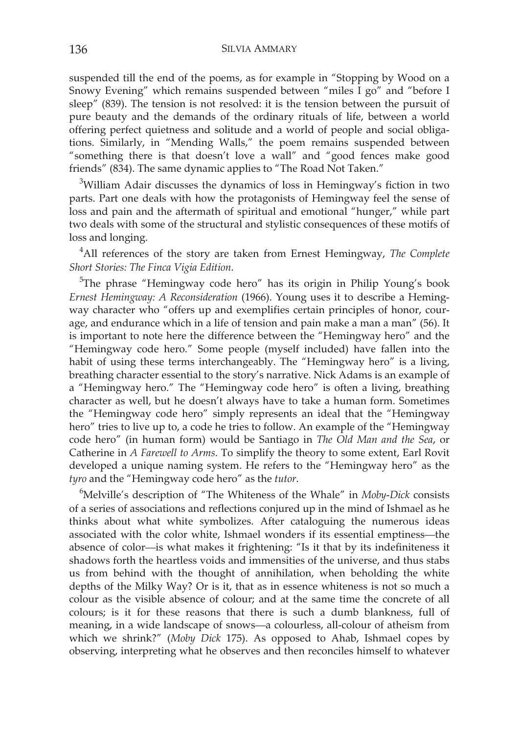suspended till the end of the poems, as for example in "Stopping by Wood on a Snowy Evening" which remains suspended between "miles I go" and "before I sleep" (839). The tension is not resolved: it is the tension between the pursuit of pure beauty and the demands of the ordinary rituals of life, between a world offering perfect quietness and solitude and a world of people and social obligations. Similarly, in "Mending Walls," the poem remains suspended between "something there is that doesn't love a wall" and "good fences make good friends" (834). The same dynamic applies to "The Road Not Taken."

<sup>3</sup>William Adair discusses the dynamics of loss in Hemingway's fiction in two parts. Part one deals with how the protagonists of Hemingway feel the sense of loss and pain and the aftermath of spiritual and emotional "hunger," while part two deals with some of the structural and stylistic consequences of these motifs of loss and longing.

4 All references of the story are taken from Ernest Hemingway, *The Complete Short Stories: The Finca Vigia Edition*.

<sup>5</sup>The phrase "Hemingway code hero" has its origin in Philip Young's book *Ernest Hemingway: A Reconsideration* (1966). Young uses it to describe a Hemingway character who "offers up and exemplifies certain principles of honor, courage, and endurance which in a life of tension and pain make a man a man" (56). It is important to note here the difference between the "Hemingway hero" and the "Hemingway code hero." Some people (myself included) have fallen into the habit of using these terms interchangeably. The "Hemingway hero" is a living, breathing character essential to the story's narrative. Nick Adams is an example of a "Hemingway hero." The "Hemingway code hero" is often a living, breathing character as well, but he doesn't always have to take a human form. Sometimes the "Hemingway code hero" simply represents an ideal that the "Hemingway hero" tries to live up to, a code he tries to follow. An example of the "Hemingway code hero" (in human form) would be Santiago in *The Old Man and the Sea*, or Catherine in *A Farewell to Arms*. To simplify the theory to some extent, Earl Rovit developed a unique naming system. He refers to the "Hemingway hero" as the *tyro* and the "Hemingway code hero" as the *tutor*.

6 Melville's description of "The Whiteness of the Whale" in *Moby-Dick* consists of a series of associations and reflections conjured up in the mind of Ishmael as he thinks about what white symbolizes. After cataloguing the numerous ideas associated with the color white, Ishmael wonders if its essential emptiness—the absence of color—is what makes it frightening: "Is it that by its indefiniteness it shadows forth the heartless voids and immensities of the universe, and thus stabs us from behind with the thought of annihilation, when beholding the white depths of the Milky Way? Or is it, that as in essence whiteness is not so much a colour as the visible absence of colour; and at the same time the concrete of all colours; is it for these reasons that there is such a dumb blankness, full of meaning, in a wide landscape of snows—a colourless, all-colour of atheism from which we shrink?" (*Moby Dick* 175). As opposed to Ahab, Ishmael copes by observing, interpreting what he observes and then reconciles himself to whatever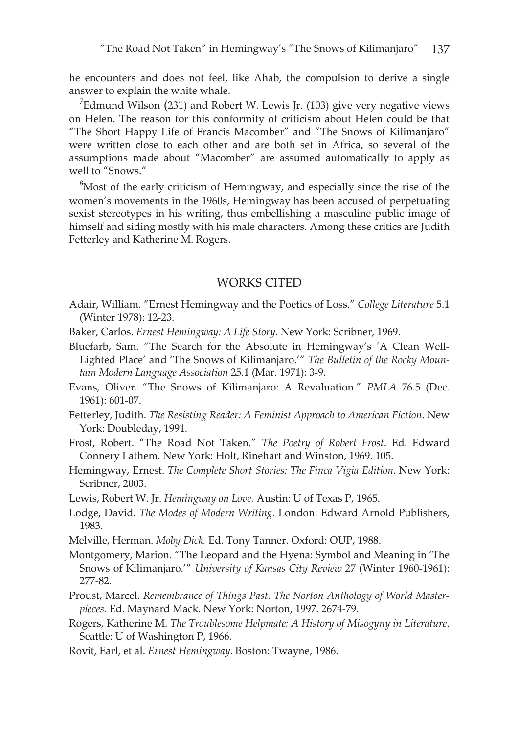he encounters and does not feel, like Ahab, the compulsion to derive a single answer to explain the white whale.

 $7$ Edmund Wilson (231) and Robert W. Lewis Jr. (103) give very negative views on Helen. The reason for this conformity of criticism about Helen could be that "The Short Happy Life of Francis Macomber" and "The Snows of Kilimanjaro" were written close to each other and are both set in Africa, so several of the assumptions made about "Macomber" are assumed automatically to apply as well to "Snows."

 $8$ Most of the early criticism of Hemingway, and especially since the rise of the women's movements in the 1960s, Hemingway has been accused of perpetuating sexist stereotypes in his writing, thus embellishing a masculine public image of himself and siding mostly with his male characters. Among these critics are Judith Fetterley and Katherine M. Rogers.

## WORKS CITED

- Adair, William. "Ernest Hemingway and the Poetics of Loss." *College Literature* 5.1 (Winter 1978): 12-23.
- Baker, Carlos. *Ernest Hemingway: A Life Story*. New York: Scribner, 1969.
- Bluefarb, Sam. "The Search for the Absolute in Hemingway's 'A Clean Well-Lighted Place' and 'The Snows of Kilimanjaro.'" *The Bulletin of the Rocky Mountain Modern Language Association* 25.1 (Mar. 1971): 3-9.
- Evans, Oliver. "The Snows of Kilimanjaro: A Revaluation." *PMLA* 76.5 (Dec. 1961): 601-07.
- Fetterley, Judith. *The Resisting Reader: A Feminist Approach to American Fiction*. New York: Doubleday, 1991.
- Frost, Robert. "The Road Not Taken." *The Poetry of Robert Frost*. Ed. Edward Connery Lathem. New York: Holt, Rinehart and Winston, 1969. 105.
- Hemingway, Ernest. *The Complete Short Stories: The Finca Vigia Edition*. New York: Scribner, 2003.
- Lewis, Robert W. Jr. *Hemingway on Love.* Austin: U of Texas P, 1965.
- Lodge, David. *The Modes of Modern Writing*. London: Edward Arnold Publishers, 1983.
- Melville, Herman. *Moby Dick.* Ed. Tony Tanner. Oxford: OUP, 1988.
- Montgomery, Marion. "The Leopard and the Hyena: Symbol and Meaning in 'The Snows of Kilimanjaro.'" *University of Kansas City Review* 27 (Winter 1960-1961): 277-82.
- Proust, Marcel. *Remembrance of Things Past. The Norton Anthology of World Masterpieces.* Ed. Maynard Mack. New York: Norton, 1997. 2674-79.
- Rogers, Katherine M. *The Troublesome Helpmate: A History of Misogyny in Literature*. Seattle: U of Washington P, 1966.
- Rovit, Earl, et al. *Ernest Hemingway*. Boston: Twayne, 1986.